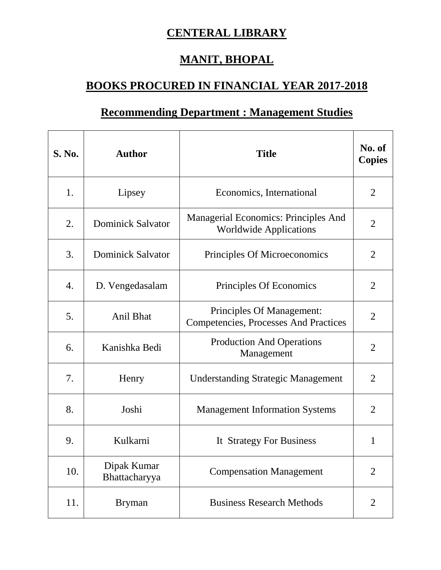## **CENTERAL LIBRARY**

## **MANIT, BHOPAL**

## **BOOKS PROCURED IN FINANCIAL YEAR 2017-2018**

## **Recommending Department : Management Studies**

| <b>S. No.</b> | <b>Author</b>                | <b>Title</b>                                                              | No. of<br><b>Copies</b> |
|---------------|------------------------------|---------------------------------------------------------------------------|-------------------------|
| 1.            | Lipsey                       | Economics, International                                                  | $\overline{2}$          |
| 2.            | <b>Dominick Salvator</b>     | Managerial Economics: Principles And<br><b>Worldwide Applications</b>     | $\overline{2}$          |
| 3.            | <b>Dominick Salvator</b>     | Principles Of Microeconomics                                              | 2                       |
| 4.            | D. Vengedasalam              | Principles Of Economics                                                   | $\overline{2}$          |
| 5.            | Anil Bhat                    | Principles Of Management:<br><b>Competencies, Processes And Practices</b> | $\overline{2}$          |
| 6.            | Kanishka Bedi                | <b>Production And Operations</b><br>Management                            | $\overline{2}$          |
| 7.            | Henry                        | <b>Understanding Strategic Management</b>                                 | $\overline{2}$          |
| 8.            | Joshi                        | <b>Management Information Systems</b>                                     | $\overline{2}$          |
| 9.            | Kulkarni                     | It Strategy For Business                                                  | 1                       |
| 10.           | Dipak Kumar<br>Bhattacharyya | <b>Compensation Management</b>                                            | $\overline{2}$          |
| 11.           | <b>Bryman</b>                | <b>Business Research Methods</b>                                          | $\overline{2}$          |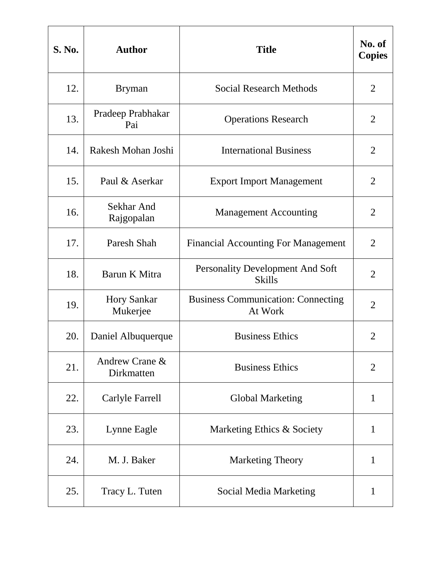| <b>S. No.</b> | <b>Author</b>                  | <b>Title</b>                                         | No. of<br><b>Copies</b> |
|---------------|--------------------------------|------------------------------------------------------|-------------------------|
| 12.           | <b>Bryman</b>                  | <b>Social Research Methods</b>                       | $\overline{2}$          |
| 13.           | Pradeep Prabhakar<br>Pai       | <b>Operations Research</b>                           | $\overline{2}$          |
| 14.           | Rakesh Mohan Joshi             | <b>International Business</b>                        | $\overline{2}$          |
| 15.           | Paul & Aserkar                 | <b>Export Import Management</b>                      | $\overline{2}$          |
| 16.           | Sekhar And<br>Rajgopalan       | <b>Management Accounting</b>                         | $\overline{2}$          |
| 17.           | Paresh Shah                    | <b>Financial Accounting For Management</b>           | 2                       |
| 18.           | Barun K Mitra                  | Personality Development And Soft<br><b>Skills</b>    | $\overline{2}$          |
| 19.           | <b>Hory Sankar</b><br>Mukerjee | <b>Business Communication: Connecting</b><br>At Work | $\overline{2}$          |
| 20.           | Daniel Albuquerque             | <b>Business Ethics</b>                               | $\overline{2}$          |
| 21.           | Andrew Crane &<br>Dirkmatten   | <b>Business Ethics</b>                               | $\overline{2}$          |
| 22.           | Carlyle Farrell                | <b>Global Marketing</b>                              | $\mathbf{1}$            |
| 23.           | Lynne Eagle                    | Marketing Ethics & Society                           | $\mathbf{1}$            |
| 24.           | M. J. Baker                    | <b>Marketing Theory</b>                              | 1                       |
| 25.           | Tracy L. Tuten                 | <b>Social Media Marketing</b>                        | $\mathbf{1}$            |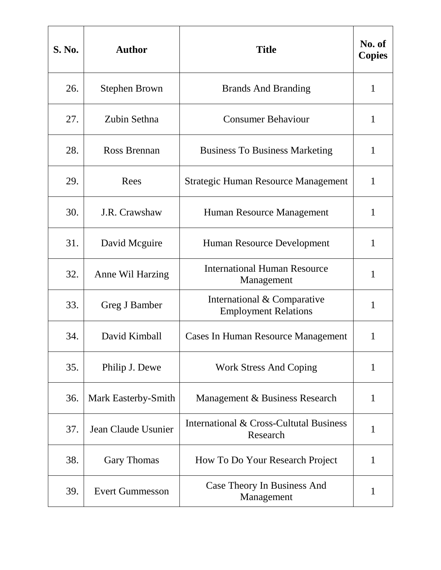| <b>S. No.</b> | <b>Author</b>          | <b>Title</b>                                               | No. of<br><b>Copies</b> |
|---------------|------------------------|------------------------------------------------------------|-------------------------|
| 26.           | <b>Stephen Brown</b>   | <b>Brands And Branding</b>                                 | $\mathbf{1}$            |
| 27.           | Zubin Sethna           | <b>Consumer Behaviour</b>                                  | 1                       |
| 28.           | Ross Brennan           | <b>Business To Business Marketing</b>                      | 1                       |
| 29.           | Rees                   | <b>Strategic Human Resource Management</b>                 | $\mathbf{1}$            |
| 30.           | J.R. Crawshaw          | Human Resource Management                                  | 1                       |
| 31.           | David Mcguire          | Human Resource Development                                 | $\mathbf{1}$            |
| 32.           | Anne Wil Harzing       | <b>International Human Resource</b><br>Management          | 1                       |
| 33.           | Greg J Bamber          | International & Comparative<br><b>Employment Relations</b> | 1                       |
| 34.           | David Kimball          | Cases In Human Resource Management                         | 1                       |
| 35.           | Philip J. Dewe         | <b>Work Stress And Coping</b>                              | $\mathbf{1}$            |
| 36.           | Mark Easterby-Smith    | Management & Business Research                             | 1                       |
| 37.           | Jean Claude Usunier    | International & Cross-Cultutal Business<br>Research        | $\mathbf{1}$            |
| 38.           | Gary Thomas            | How To Do Your Research Project                            | 1                       |
| 39.           | <b>Evert Gummesson</b> | Case Theory In Business And<br>Management                  | 1                       |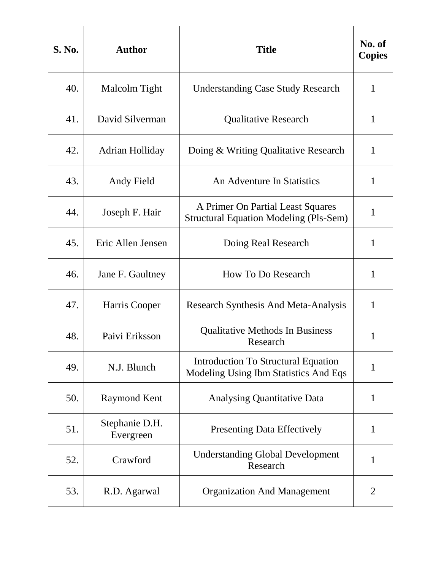| S. No. | <b>Author</b>               | <b>Title</b>                                                                        | No. of<br><b>Copies</b> |
|--------|-----------------------------|-------------------------------------------------------------------------------------|-------------------------|
| 40.    | Malcolm Tight               | <b>Understanding Case Study Research</b>                                            | $\mathbf{1}$            |
| 41.    | David Silverman             | <b>Qualitative Research</b>                                                         | 1                       |
| 42.    | Adrian Holliday             | Doing & Writing Qualitative Research                                                | $\mathbf{1}$            |
| 43.    | Andy Field                  | An Adventure In Statistics                                                          | $\mathbf{1}$            |
| 44.    | Joseph F. Hair              | A Primer On Partial Least Squares<br><b>Structural Equation Modeling (Pls-Sem)</b>  | $\mathbf{1}$            |
| 45.    | Eric Allen Jensen           | Doing Real Research                                                                 | $\mathbf{1}$            |
| 46.    | Jane F. Gaultney            | <b>How To Do Research</b>                                                           | 1                       |
| 47.    | Harris Cooper               | <b>Research Synthesis And Meta-Analysis</b>                                         | 1                       |
| 48.    | Paivi Eriksson              | <b>Qualitative Methods In Business</b><br>Research                                  | 1                       |
| 49.    | N.J. Blunch                 | <b>Introduction To Structural Equation</b><br>Modeling Using Ibm Statistics And Eqs | $\mathbf{1}$            |
| 50.    | <b>Raymond Kent</b>         | <b>Analysing Quantitative Data</b>                                                  | 1                       |
| 51.    | Stephanie D.H.<br>Evergreen | <b>Presenting Data Effectively</b>                                                  | $\mathbf{1}$            |
| 52.    | Crawford                    | <b>Understanding Global Development</b><br>Research                                 | 1                       |
| 53.    | R.D. Agarwal                | <b>Organization And Management</b>                                                  | 2                       |